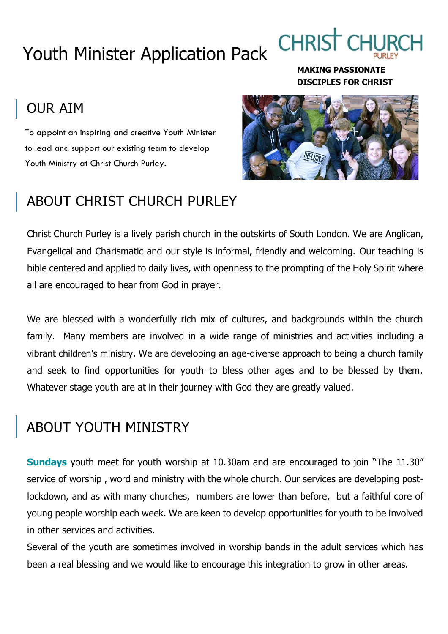## Youth Minister Application Pack

**CHRIS** 

**MAKING PASSIONATE DISCIPLES FOR CHRIST**

### OUR AIM

To appoint an inspiring and creative Youth Minister to lead and support our existing team to develop Youth Ministry at Christ Church Purley.

# ABOUT CHRIST CHURCH PURLEY



Christ Church Purley is a lively parish church in the outskirts of South London. We are Anglican, Evangelical and Charismatic and our style is informal, friendly and welcoming. Our teaching is bible centered and applied to daily lives, with openness to the prompting of the Holy Spirit where all are encouraged to hear from God in prayer.

We are blessed with a wonderfully rich mix of cultures, and backgrounds within the church family. Many members are involved in a wide range of ministries and activities including a vibrant children's ministry. We are developing an age-diverse approach to being a church family and seek to find opportunities for youth to bless other ages and to be blessed by them. Whatever stage youth are at in their journey with God they are greatly valued.

### ABOUT YOUTH MINISTRY

**Sundays** youth meet for youth worship at 10.30am and are encouraged to join "The 11.30" service of worship , word and ministry with the whole church. Our services are developing postlockdown, and as with many churches, numbers are lower than before, but a faithful core of young people worship each week. We are keen to develop opportunities for youth to be involved in other services and activities.

Several of the youth are sometimes involved in worship bands in the adult services which has been a real blessing and we would like to encourage this integration to grow in other areas.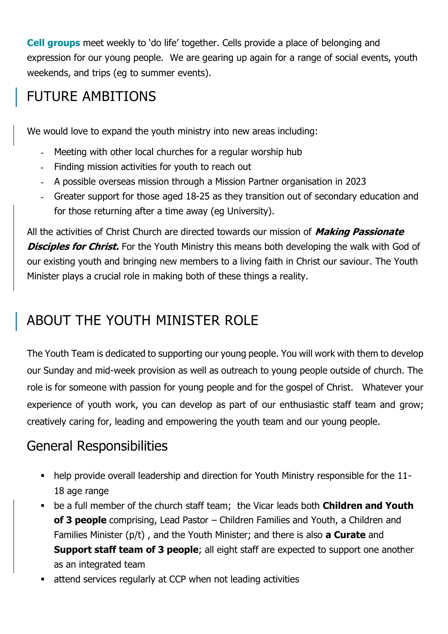**Cell groups** meet weekly to 'do life' together. Cells provide a place of belonging and expression for our young people. We are gearing up again for a range of social events, youth weekends, and trips (eg to summer events).

### FUTURE AMBITIONS

We would love to expand the youth ministry into new areas including:

- Meeting with other local churches for a regular worship hub
- Finding mission activities for youth to reach out
- A possible overseas mission through a Mission Partner organisation in 2023
- Greater support for those aged 18-25 as they transition out of secondary education and for those returning after a time away (eg University).

All the activities of Christ Church are directed towards our mission of **Making Passionate Disciples for Christ.** For the Youth Ministry this means both developing the walk with God of our existing youth and bringing new members to a living faith in Christ our saviour. The Youth Minister plays a crucial role in making both of these things a reality.

### ABOUT THE YOUTH MINISTER ROLE

The Youth Team is dedicated to supporting our young people. You will work with them to develop our Sunday and mid-week provision as well as outreach to young people outside of church. The role is for someone with passion for young people and for the gospel of Christ. Whatever your experience of youth work, you can develop as part of our enthusiastic staff team and grow; creatively caring for, leading and empowering the youth team and our young people.

### General Responsibilities

- help provide overall leadership and direction for Youth Ministry responsible for the 11- 18 age range
- **EXTED 10 FE ATA FORTH IN THE STARK IS A FIGURE 10 FOR THE CHILD FOR THE CHILD FOR THE POST OF THE POST OF THE YOUTH of 3 people** comprising, Lead Pastor – Children Families and Youth, a Children and Families Minister (p/t) , and the Youth Minister; and there is also **a Curate** and **Support staff team of 3 people**; all eight staff are expected to support one another as an integrated team
- attend services regularly at CCP when not leading activities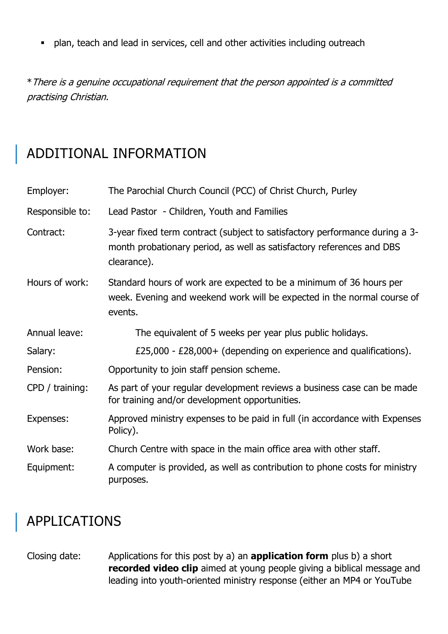▪ plan, teach and lead in services, cell and other activities including outreach

\*There is a genuine occupational requirement that the person appointed is a committed practising Christian.

### ADDITIONAL INFORMATION

| Employer:       | The Parochial Church Council (PCC) of Christ Church, Purley                                                                                                         |
|-----------------|---------------------------------------------------------------------------------------------------------------------------------------------------------------------|
| Responsible to: | Lead Pastor - Children, Youth and Families                                                                                                                          |
| Contract:       | 3-year fixed term contract (subject to satisfactory performance during a 3-<br>month probationary period, as well as satisfactory references and DBS<br>clearance). |
| Hours of work:  | Standard hours of work are expected to be a minimum of 36 hours per<br>week. Evening and weekend work will be expected in the normal course of<br>events.           |
| Annual leave:   | The equivalent of 5 weeks per year plus public holidays.                                                                                                            |
| Salary:         | £25,000 - £28,000+ (depending on experience and qualifications).                                                                                                    |
| Pension:        | Opportunity to join staff pension scheme.                                                                                                                           |
| CPD / training: | As part of your regular development reviews a business case can be made<br>for training and/or development opportunities.                                           |
| Expenses:       | Approved ministry expenses to be paid in full (in accordance with Expenses<br>Policy).                                                                              |
| Work base:      | Church Centre with space in the main office area with other staff.                                                                                                  |
| Equipment:      | A computer is provided, as well as contribution to phone costs for ministry<br>purposes.                                                                            |

### APPLICATIONS

Closing date: Applications for this post by a) an **application form** plus b) a short **recorded video clip** aimed at young people giving a biblical message and leading into youth-oriented ministry response (either an MP4 or YouTube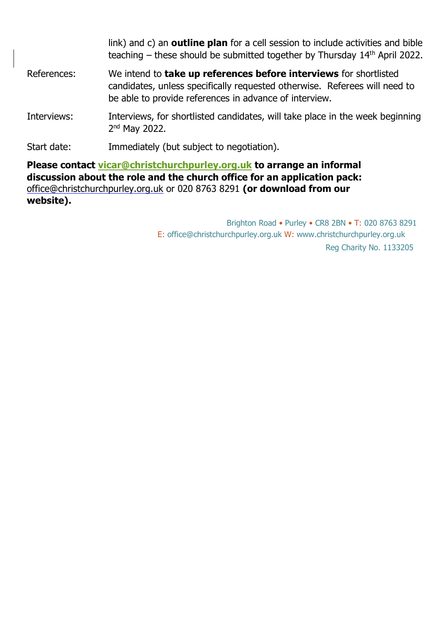|                                                                                                                                                                                                                              | link) and c) an <b>outline plan</b> for a cell session to include activities and bible<br>teaching – these should be submitted together by Thursday 14 <sup>th</sup> April 2022.                                 |
|------------------------------------------------------------------------------------------------------------------------------------------------------------------------------------------------------------------------------|------------------------------------------------------------------------------------------------------------------------------------------------------------------------------------------------------------------|
| References:                                                                                                                                                                                                                  | We intend to <b>take up references before interviews</b> for shortlisted<br>candidates, unless specifically requested otherwise. Referees will need to<br>be able to provide references in advance of interview. |
| Interviews:                                                                                                                                                                                                                  | Interviews, for shortlisted candidates, will take place in the week beginning<br>$2nd$ May 2022.                                                                                                                 |
| Start date:                                                                                                                                                                                                                  | Immediately (but subject to negotiation).                                                                                                                                                                        |
| Please contact vicar@christchurchpurley.org.uk to arrange an informal<br>discussion about the role and the church office for an application pack:<br>office@christchurchpurley.org.uk or 020 8763 8291 (or download from our |                                                                                                                                                                                                                  |

**website).**

 Brighton Road • Purley • CR8 2BN • T: 020 8763 8291 E: office@christchurchpurley.org.uk W: www.christchurchpurley.org.uk Reg Charity No. 1133205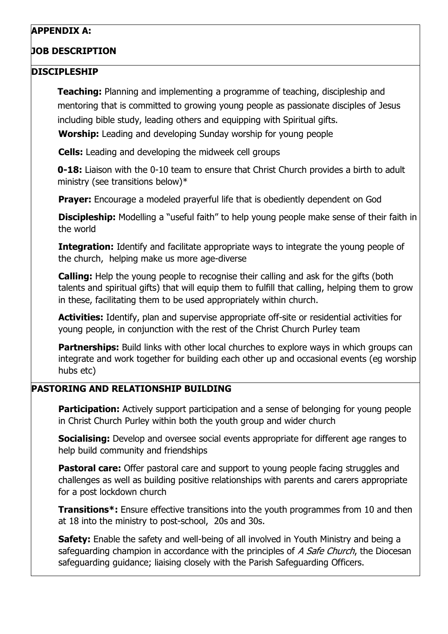#### **APPENDIX A:**

#### **JOB DESCRIPTION**

#### **DISCIPLESHIP**

**Teaching:** Planning and implementing a programme of teaching, discipleship and mentoring that is committed to growing young people as passionate disciples of Jesus including bible study, leading others and equipping with Spiritual gifts. **Worship:** Leading and developing Sunday worship for young people

**Cells:** Leading and developing the midweek cell groups

**0-18:** Liaison with the 0-10 team to ensure that Christ Church provides a birth to adult ministry (see transitions below)\*

**Prayer:** Encourage a modeled prayerful life that is obediently dependent on God

**Discipleship:** Modelling a "useful faith" to help young people make sense of their faith in the world

**Integration:** Identify and facilitate appropriate ways to integrate the young people of the church, helping make us more age-diverse

**Calling:** Help the young people to recognise their calling and ask for the gifts (both talents and spiritual gifts) that will equip them to fulfill that calling, helping them to grow in these, facilitating them to be used appropriately within church.

**Activities:** Identify, plan and supervise appropriate off-site or residential activities for young people, in conjunction with the rest of the Christ Church Purley team

**Partnerships:** Build links with other local churches to explore ways in which groups can integrate and work together for building each other up and occasional events (eg worship hubs etc)

#### **PASTORING AND RELATIONSHIP BUILDING**

**Participation:** Actively support participation and a sense of belonging for young people in Christ Church Purley within both the youth group and wider church

**Socialising:** Develop and oversee social events appropriate for different age ranges to help build community and friendships

**Pastoral care:** Offer pastoral care and support to young people facing struggles and challenges as well as building positive relationships with parents and carers appropriate for a post lockdown church

**Transitions\*:** Ensure effective transitions into the youth programmes from 10 and then at 18 into the ministry to post-school, 20s and 30s.

**Safety:** Enable the safety and well-being of all involved in Youth Ministry and being a safeguarding champion in accordance with the principles of A Safe Church, the Diocesan safeguarding guidance; liaising closely with the Parish Safeguarding Officers.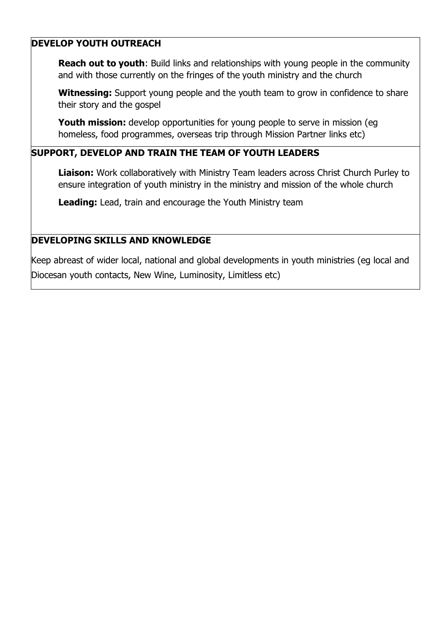#### **DEVELOP YOUTH OUTREACH**

**Reach out to youth:** Build links and relationships with young people in the community and with those currently on the fringes of the youth ministry and the church

**Witnessing:** Support young people and the youth team to grow in confidence to share their story and the gospel

**Youth mission:** develop opportunities for young people to serve in mission (eg homeless, food programmes, overseas trip through Mission Partner links etc)

#### **SUPPORT, DEVELOP AND TRAIN THE TEAM OF YOUTH LEADERS**

**Liaison:** Work collaboratively with Ministry Team leaders across Christ Church Purley to ensure integration of youth ministry in the ministry and mission of the whole church

**Leading:** Lead, train and encourage the Youth Ministry team

#### **DEVELOPING SKILLS AND KNOWLEDGE**

Keep abreast of wider local, national and global developments in youth ministries (eg local and Diocesan youth contacts, New Wine, Luminosity, Limitless etc)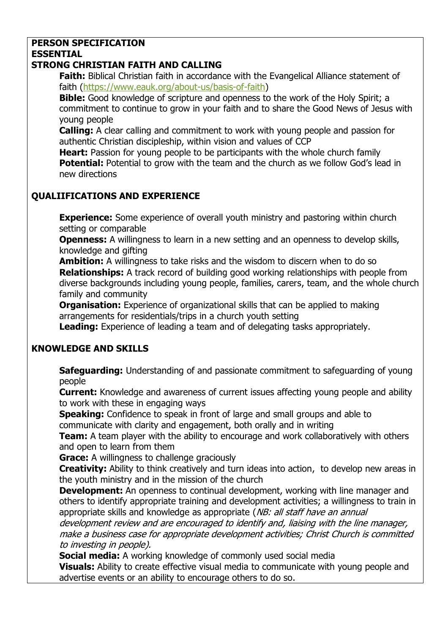#### **PERSON SPECIFICATION ESSENTIAL**

#### **STRONG CHRISTIAN FAITH AND CALLING**

**Faith:** Biblical Christian faith in accordance with the Evangelical Alliance statement of faith [\(https://www.eauk.org/about-us/basis-of-faith\)](https://www.eauk.org/about-us/basis-of-faith)

**Bible:** Good knowledge of scripture and openness to the work of the Holy Spirit; a commitment to continue to grow in your faith and to share the Good News of Jesus with young people

**Calling:** A clear calling and commitment to work with young people and passion for authentic Christian discipleship, within vision and values of CCP

**Heart:** Passion for young people to be participants with the whole church family **Potential:** Potential to grow with the team and the church as we follow God's lead in new directions

#### **QUALIIFICATIONS AND EXPERIENCE**

**Experience:** Some experience of overall youth ministry and pastoring within church setting or comparable

**Openness:** A willingness to learn in a new setting and an openness to develop skills, knowledge and gifting

**Ambition:** A willingness to take risks and the wisdom to discern when to do so **Relationships:** A track record of building good working relationships with people from diverse backgrounds including young people, families, carers, team, and the whole church family and community

**Organisation:** Experience of organizational skills that can be applied to making arrangements for residentials/trips in a church youth setting

**Leading:** Experience of leading a team and of delegating tasks appropriately.

#### **KNOWLEDGE AND SKILLS**

**Safeguarding:** Understanding of and passionate commitment to safeguarding of young people

**Current:** Knowledge and awareness of current issues affecting young people and ability to work with these in engaging ways

**Speaking:** Confidence to speak in front of large and small groups and able to communicate with clarity and engagement, both orally and in writing

**Team:** A team player with the ability to encourage and work collaboratively with others and open to learn from them

**Grace:** A willingness to challenge graciously

**Creativity:** Ability to think creatively and turn ideas into action, to develop new areas in the youth ministry and in the mission of the church

**Development:** An openness to continual development, working with line manager and others to identify appropriate training and development activities; a willingness to train in appropriate skills and knowledge as appropriate (NB: all staff have an annual

development review and are encouraged to identify and, liaising with the line manager, make a business case for appropriate development activities; Christ Church is committed to investing in people).

**Social media:** A working knowledge of commonly used social media

**Visuals:** Ability to create effective visual media to communicate with young people and advertise events or an ability to encourage others to do so.